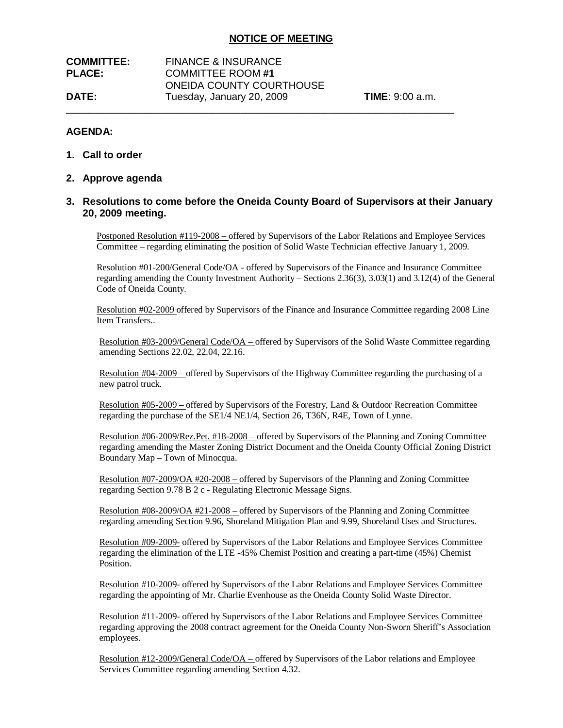| <b>COMMITTEE:</b> | <b>FINANCE &amp; INSURANCE</b> |                           |
|-------------------|--------------------------------|---------------------------|
| <b>PLACE:</b>     | <b>COMMITTEE ROOM#1</b>        |                           |
|                   | ONEIDA COUNTY COURTHOUSE       |                           |
| <b>DATE:</b>      | Tuesday, January 20, 2009      | <b>TIME</b> : $9:00$ a.m. |
|                   |                                |                           |

## **AGENDA:**

- **1. Call to order**
- **2. Approve agenda**

## **3. Resolutions to come before the Oneida County Board of Supervisors at their January 20, 2009 meeting.**

Postponed Resolution #119-2008 – offered by Supervisors of the Labor Relations and Employee Services Committee – regarding eliminating the position of Solid Waste Technician effective January 1, 2009.

Resolution #01-200/General Code/OA - offered by Supervisors of the Finance and Insurance Committee regarding amending the County Investment Authority – Sections 2.36(3), 3.03(1) and 3.12(4) of the General Code of Oneida County.

Resolution #02-2009 offered by Supervisors of the Finance and Insurance Committee regarding 2008 Line Item Transfers..

Resolution #03-2009/General Code/OA – offered by Supervisors of the Solid Waste Committee regarding amending Sections 22.02, 22.04, 22.16.

Resolution #04-2009 – offered by Supervisors of the Highway Committee regarding the purchasing of a new patrol truck.

Resolution #05-2009 – offered by Supervisors of the Forestry, Land & Outdoor Recreation Committee regarding the purchase of the SE1/4 NE1/4, Section 26, T36N, R4E, Town of Lynne.

Resolution #06-2009/Rez.Pet. #18-2008 – offered by Supervisors of the Planning and Zoning Committee regarding amending the Master Zoning District Document and the Oneida County Official Zoning District Boundary Map – Town of Minocqua.

Resolution #07-2009/OA #20-2008 – offered by Supervisors of the Planning and Zoning Committee regarding Section 9.78 B 2 c - Regulating Electronic Message Signs.

Resolution #08-2009/OA #21-2008 – offered by Supervisors of the Planning and Zoning Committee regarding amending Section 9.96, Shoreland Mitigation Plan and 9.99, Shoreland Uses and Structures.

Resolution #09-2009- offered by Supervisors of the Labor Relations and Employee Services Committee regarding the elimination of the LTE -45% Chemist Position and creating a part-time (45%) Chemist Position.

Resolution #10-2009- offered by Supervisors of the Labor Relations and Employee Services Committee regarding the appointing of Mr. Charlie Evenhouse as the Oneida County Solid Waste Director.

Resolution #11-2009- offered by Supervisors of the Labor Relations and Employee Services Committee regarding approving the 2008 contract agreement for the Oneida County Non-Sworn Sheriff's Association employees.

Resolution #12-2009/General Code/OA – offered by Supervisors of the Labor relations and Employee Services Committee regarding amending Section 4.32.